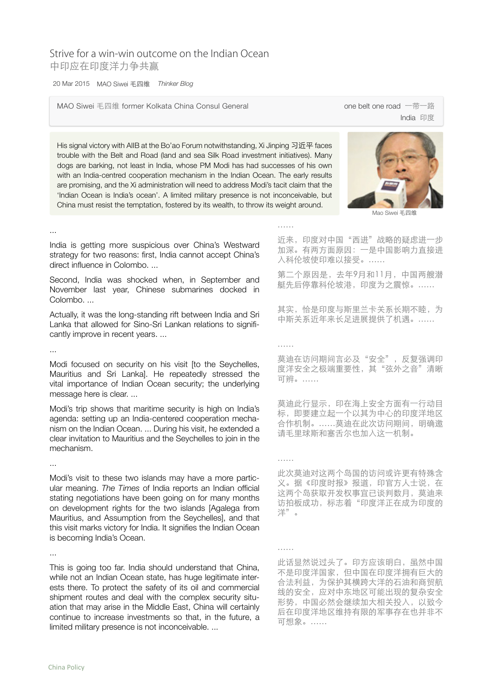## Strive for a win-win outcome on the Indian Ocean 中印应在印度洋力争共赢

20 Mar 2015 Mao Siwei 毛四维 *Thinker Blog*

MAO Siwei 毛四维 former Kolkata China Consul General one one belt one road 一带一路

India 印度

His signal victory with AIIB at the Bo'ao Forum notwithstanding, Xi Jinping 习近平 faces trouble with the Belt and Road (land and sea Silk Road investment initiatives). Many dogs are barking, not least in India, whose PM Modi has had successes of his own with an India-centred cooperation mechanism in the Indian Ocean. The early results are promising, and the Xi administration will need to address Modi's tacit claim that the 'Indian Ocean is India's ocean'. A limited military presence is not inconceivable, but China must resist the temptation, fostered by its wealth, to throw its weight around.



Mao Siwei 毛四维

India is getting more suspicious over China's Westward strategy for two reasons: first, India cannot accept China's direct influence in Colombo. ...

Second, India was shocked when, in September and November last year, Chinese submarines docked in Colombo. ...

Actually, it was the long-standing rift between India and Sri Lanka that allowed for Sino-Sri Lankan relations to significantly improve in recent years. ...

...

...

Modi focused on security on his visit [to the Seychelles, Mauritius and Sri Lanka]. He repeatedly stressed the vital importance of Indian Ocean security; the underlying message here is clear. ...

Modi's trip shows that maritime security is high on India's agenda: setting up an India-centered cooperation mechanism on the Indian Ocean. ... During his visit, he extended a clear invitation to Mauritius and the Seychelles to join in the mechanism.

Modi's visit to these two islands may have a more particular meaning. *The Times* of India reports an Indian official stating negotiations have been going on for many months on development rights for the two islands [Agalega from Mauritius, and Assumption from the Seychelles], and that this visit marks victory for India. It signifies the Indian Ocean is becoming India's Ocean.

...

...

This is going too far. India should understand that China, while not an Indian Ocean state, has huge legitimate interests there. To protect the safety of its oil and commercial shipment routes and deal with the complex security situation that may arise in the Middle East, China will certainly continue to increase investments so that, in the future, a limited military presence is not inconceivable. ...

近来,印度对中国"西进"战略的疑虑进一步 加深。有两方面原因:一是中国影响力直接进 入科伦坡使印难以接受。……

……

……

……

……

第二个原因是,去年9月和11月,中国两艘潜 艇先后停靠科伦坡港,印度为之震惊。……

其实,恰是印度与斯里兰卡关系长期不睦,为 中斯关系近年来长足进展提供了机遇。……

莫迪在访问期间言必及"安全",反复强调印 度洋安全之极端重要性,其"弦外之音"清晰 可辨。……

莫迪此行显示,印在海上安全方面有一行动目 标,即要建立起一个以其为中心的印度洋地区 合作机制。……莫迪在此次访问期间,明确邀 请毛里球斯和塞舌尔也加入这一机制。

此次莫迪对这两个岛国的访问或许更有特殊含 义。据《印度时报》报道,印官方人士说,在 这两个岛获取开发权事宜已谈判数月,莫迪来 访拍板成功,标志着"印度洋正在成为印度的 洋"。

此话显然说过头了。印方应该明白,虽然中国 不是印度洋国家,但中国在印度洋拥有巨大的 合法利益,为保护其横跨大洋的石油和商贸航 线的安全,应对中东地区可能出现的复杂安全 形势,中国必然会继续加大相关投入,以致今 后在印度洋地区维持有限的军事存在也并非不 可想象。……